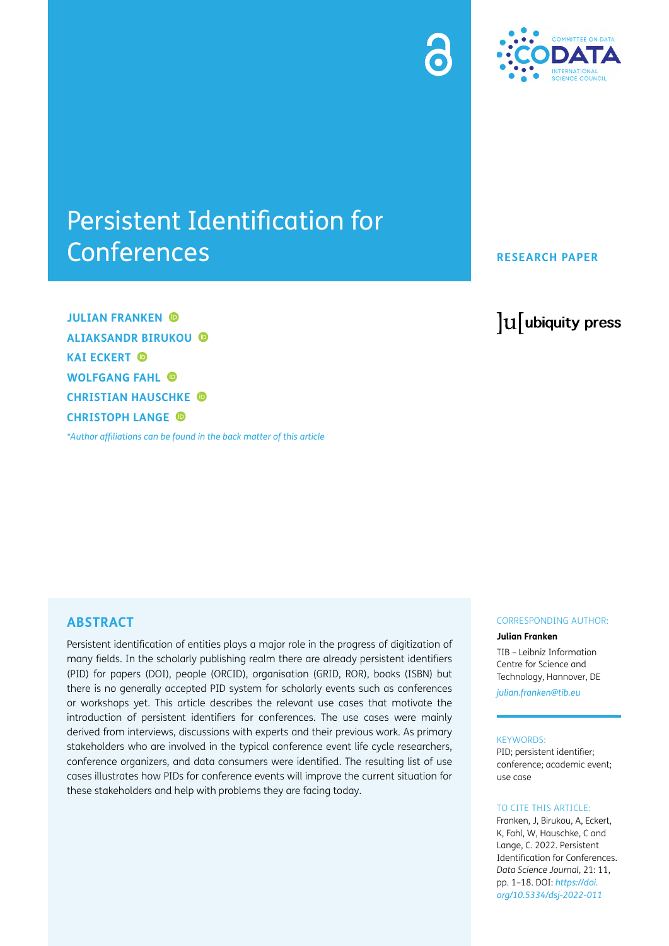



# Persistent Identification for Conferences

**RESEARCH PAPER**

**JULIAN FRANKEN ALIAKSANDR BIRUKOU KAI ECKERT © WOLFGANG FAHL CHRISTIAN HAUSCHKE CHRISTOPH LANGE**

*[\\*Author affiliations can be found in the back matter of this article](#page-15-0)*

lu ubiquity press

# **ABSTRACT**

Persistent identification of entities plays a major role in the progress of digitization of many fields. In the scholarly publishing realm there are already persistent identifiers (PID) for papers (DOI), people (ORCID), organisation (GRID, ROR), books (ISBN) but there is no generally accepted PID system for scholarly events such as conferences or workshops yet. This article describes the relevant use cases that motivate the introduction of persistent identifiers for conferences. The use cases were mainly derived from interviews, discussions with experts and their previous work. As primary stakeholders who are involved in the typical conference event life cycle researchers, conference organizers, and data consumers were identified. The resulting list of use cases illustrates how PIDs for conference events will improve the current situation for these stakeholders and help with problems they are facing today.

#### CORRESPONDING AUTHOR:

#### **Julian Franken**

TIB – Leibniz Information Centre for Science and Technology, Hannover, DE *[julian.franken@tib.eu](mailto:julian.franken@tib.eu)*

#### KEYWORDS:

PID; persistent identifier; conference; academic event; use case

#### TO CITE THIS ARTICLE:

Franken, J, Birukou, A, Eckert, K, Fahl, W, Hauschke, C and Lange, C. 2022. Persistent Identification for Conferences. *Data Science Journal*, 21: 11, pp. 1–18. DOI: *[https://doi.](https://doi.org/10.5334/dsj-2022-011) [org/10.5334/dsj-2022-011](https://doi.org/10.5334/dsj-2022-011)*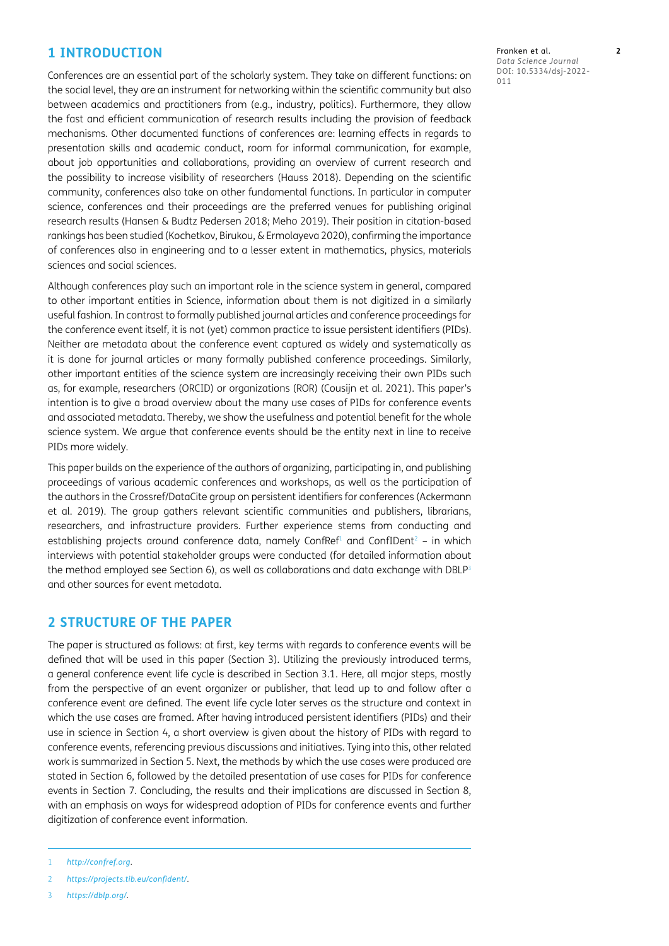# **1 INTRODUCTION**

Conferences are an essential part of the scholarly system. They take on different functions: on the social level, they are an instrument for networking within the scientific community but also between academics and practitioners from (e.g., industry, politics). Furthermore, they allow the fast and efficient communication of research results including the provision of feedback mechanisms. Other documented functions of conferences are: learning effects in regards to presentation skills and academic conduct, room for informal communication, for example, about job opportunities and collaborations, providing an overview of current research and the possibility to increase visibility of researchers [\(Hauss 2018](#page-16-0)). Depending on the scientific community, conferences also take on other fundamental functions. In particular in computer science, conferences and their proceedings are the preferred venues for publishing original research results [\(Hansen & Budtz Pedersen 2018;](#page-16-1) [Meho 2019\)](#page-17-0). Their position in citation-based rankings has been studied [\(Kochetkov, Birukou, & Ermolayeva 2020](#page-16-2)), confirming the importance of conferences also in engineering and to a lesser extent in mathematics, physics, materials sciences and social sciences.

Although conferences play such an important role in the science system in general, compared to other important entities in Science, information about them is not digitized in a similarly useful fashion. In contrast to formally published journal articles and conference proceedings for the conference event itself, it is not (yet) common practice to issue persistent identifiers (PIDs). Neither are metadata about the conference event captured as widely and systematically as it is done for journal articles or many formally published conference proceedings. Similarly, other important entities of the science system are increasingly receiving their own PIDs such as, for example, researchers (ORCID) or organizations (ROR) ([Cousijn et al. 2021\)](#page-16-3). This paper's intention is to give a broad overview about the many use cases of PIDs for conference events and associated metadata. Thereby, we show the usefulness and potential benefit for the whole science system. We argue that conference events should be the entity next in line to receive PIDs more widely.

This paper builds on the experience of the authors of organizing, participating in, and publishing proceedings of various academic conferences and workshops, as well as the participation of the authors in the Crossref/DataCite group on persistent identifiers for conferences ([Ackermann](#page-15-1)  [et al. 2019](#page-15-1)). The group gathers relevant scientific communities and publishers, librarians, researchers, and infrastructure providers. Further experience stems from conducting and establishing projects around conference data, namely Conf $Ref<sup>1</sup>$  and ConfIDent<sup>2</sup> – in which interviews with potential stakeholder groups were conducted (for detailed information about the method employed see Section 6), as well as collaborations and data exchange with DBLP[3](#page-1-2) and other sources for event metadata.

# **2 STRUCTURE OF THE PAPER**

The paper is structured as follows: at first, key terms with regards to conference events will be defined that will be used in this paper (Section 3). Utilizing the previously introduced terms, a general conference event life cycle is described in Section 3.1. Here, all major steps, mostly from the perspective of an event organizer or publisher, that lead up to and follow after a conference event are defined. The event life cycle later serves as the structure and context in which the use cases are framed. After having introduced persistent identifiers (PIDs) and their use in science in Section 4, a short overview is given about the history of PIDs with regard to conference events, referencing previous discussions and initiatives. Tying into this, other related work is summarized in Section 5. Next, the methods by which the use cases were produced are stated in Section 6, followed by the detailed presentation of use cases for PIDs for conference events in Section 7. Concluding, the results and their implications are discussed in Section 8, with an emphasis on ways for widespread adoption of PIDs for conference events and further digitization of conference event information.

- <span id="page-1-1"></span>2 *<https://projects.tib.eu/confident/>*.
- <span id="page-1-2"></span>3 *<https://dblp.org/>*.

<span id="page-1-0"></span><sup>1</sup> *<http://confref.org>*.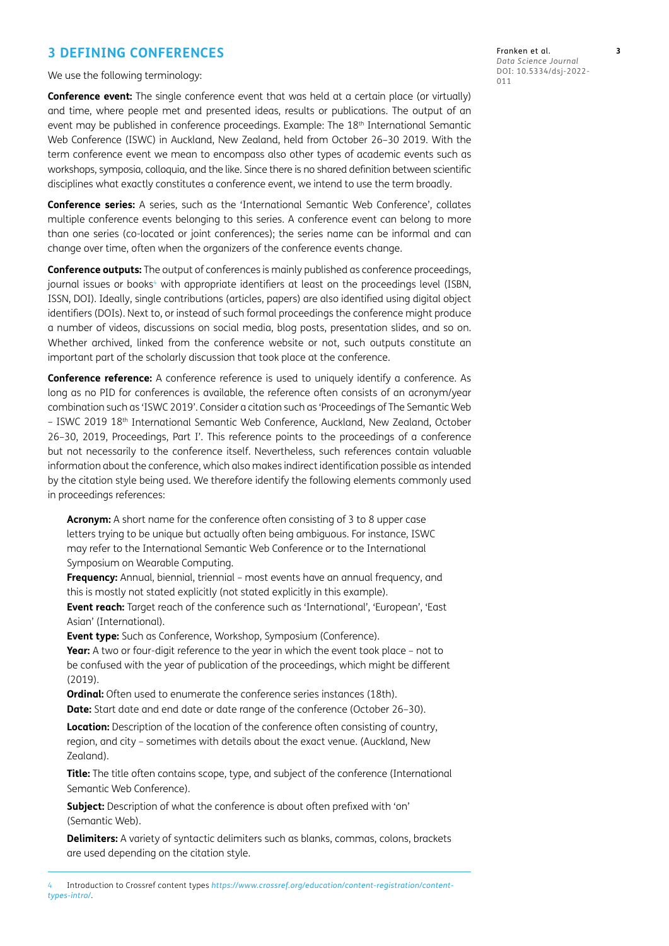# **3 DEFINING CONFERENCES**

We use the following terminology:

**Conference event:** The single conference event that was held at a certain place (or virtually) and time, where people met and presented ideas, results or publications. The output of an event may be published in conference proceedings. Example: The 18th International Semantic Web Conference (ISWC) in Auckland, New Zealand, held from October 26–30 2019. With the term conference event we mean to encompass also other types of academic events such as workshops, symposia, colloquia, and the like. Since there is no shared definition between scientific disciplines what exactly constitutes a conference event, we intend to use the term broadly.

**Conference series:** A series, such as the 'International Semantic Web Conference', collates multiple conference events belonging to this series. A conference event can belong to more than one series (co-located or joint conferences); the series name can be informal and can change over time, often when the organizers of the conference events change.

**Conference outputs:** The output of conferences is mainly published as conference proceedings, journal issues or books<sup>4</sup> with appropriate identifiers at least on the proceedings level (ISBN, ISSN, DOI). Ideally, single contributions (articles, papers) are also identified using digital object identifiers (DOIs). Next to, or instead of such formal proceedings the conference might produce a number of videos, discussions on social media, blog posts, presentation slides, and so on. Whether archived, linked from the conference website or not, such outputs constitute an important part of the scholarly discussion that took place at the conference.

**Conference reference:** A conference reference is used to uniquely identify a conference. As long as no PID for conferences is available, the reference often consists of an acronym/year combination such as 'ISWC 2019'. Consider a citation such as 'Proceedings of The Semantic Web – ISWC 2019 18th International Semantic Web Conference, Auckland, New Zealand, October 26–30, 2019, Proceedings, Part I'. This reference points to the proceedings of a conference but not necessarily to the conference itself. Nevertheless, such references contain valuable information about the conference, which also makes indirect identification possible as intended by the citation style being used. We therefore identify the following elements commonly used in proceedings references:

**Acronym:** A short name for the conference often consisting of 3 to 8 upper case letters trying to be unique but actually often being ambiguous. For instance, ISWC may refer to the International Semantic Web Conference or to the International Symposium on Wearable Computing.

**Frequency:** Annual, biennial, triennial – most events have an annual frequency, and this is mostly not stated explicitly (not stated explicitly in this example).

**Event reach:** Target reach of the conference such as 'International', 'European', 'East Asian' (International).

**Event type:** Such as Conference, Workshop, Symposium (Conference).

**Year:** A two or four-digit reference to the year in which the event took place – not to be confused with the year of publication of the proceedings, which might be different (2019).

**Ordinal:** Often used to enumerate the conference series instances (18th). **Date:** Start date and end date or date range of the conference (October 26–30).

**Location:** Description of the location of the conference often consisting of country, region, and city – sometimes with details about the exact venue. (Auckland, New Zealand).

**Title:** The title often contains scope, type, and subject of the conference (International Semantic Web Conference).

**Subject:** Description of what the conference is about often prefixed with 'on' (Semantic Web).

**Delimiters:** A variety of syntactic delimiters such as blanks, commas, colons, brackets are used depending on the citation style.

<span id="page-2-0"></span>4 Introduction to Crossref content types *[https://www.crossref.org/education/content-registration/content](https://www.crossref.org/education/content-registration/content-types-intro/)[types-intro/](https://www.crossref.org/education/content-registration/content-types-intro/)*.

Franken et al. **3** *Data Science Journal* DOI: 10.5334/dsj-2022- 011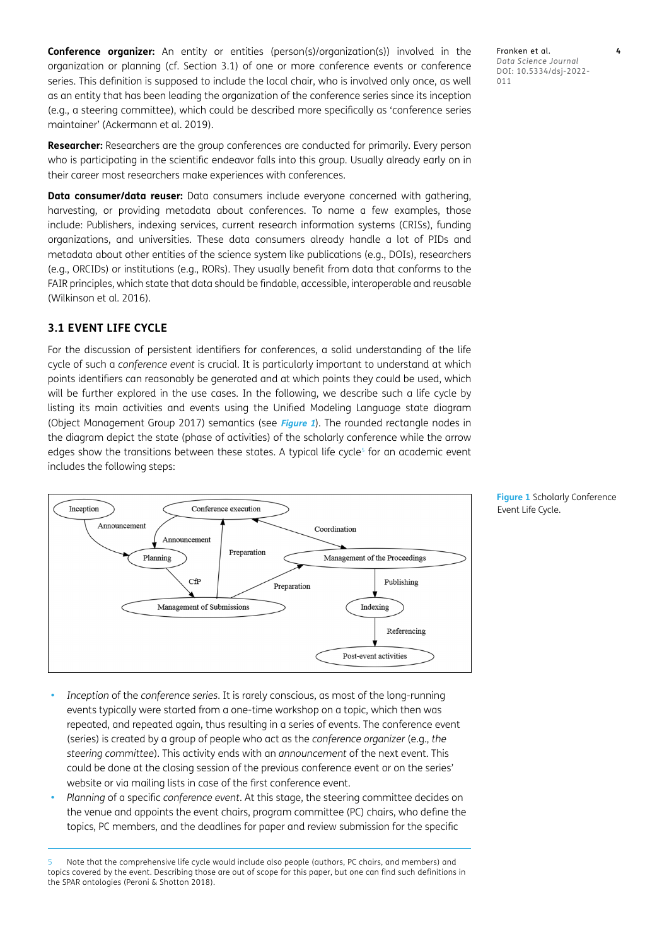**Conference organizer:** An entity or entities (person(s)/organization(s)) involved in the organization or planning (cf. Section 3.1) of one or more conference events or conference series. This definition is supposed to include the local chair, who is involved only once, as well as an entity that has been leading the organization of the conference series since its inception (e.g., a steering committee), which could be described more specifically as 'conference series maintainer' ([Ackermann et al. 2019\)](#page-15-1).

**Researcher:** Researchers are the group conferences are conducted for primarily. Every person who is participating in the scientific endeavor falls into this group. Usually already early on in their career most researchers make experiences with conferences.

**Data consumer/data reuser:** Data consumers include everyone concerned with gathering, harvesting, or providing metadata about conferences. To name a few examples, those include: Publishers, indexing services, current research information systems (CRISs), funding organizations, and universities. These data consumers already handle a lot of PIDs and metadata about other entities of the science system like publications (e.g., DOIs), researchers (e.g., ORCIDs) or institutions (e.g., RORs). They usually benefit from data that conforms to the FAIR principles, which state that data should be findable, accessible, interoperable and reusable (Wilkinson et al. 2016).

# **3.1 EVENT LIFE CYCLE**

For the discussion of persistent identifiers for conferences, a solid understanding of the life cycle of such a *conference event* is crucial. It is particularly important to understand at which points identifiers can reasonably be generated and at which points they could be used, which will be further explored in the use cases. In the following, we describe such a life cycle by listing its main activities and events using the Unified Modeling Language state diagram (Object Management Group 2017) semantics (see **[Figure 1](#page-3-0)**). The rounded rectangle nodes in the diagram depict the state (phase of activities) of the scholarly conference while the arrow edges show the transitions between these states. A typical life cycle<sup>5</sup> for an academic event includes the following steps:



- **•**  *Inception* of the *conference series*. It is rarely conscious, as most of the long-running events typically were started from a one-time workshop on a topic, which then was repeated, and repeated again, thus resulting in a series of events. The conference event (series) is created by a group of people who act as the *conference organizer* (e.g., *the steering committee*). This activity ends with an *announcement* of the next event. This could be done at the closing session of the previous conference event or on the series' website or via mailing lists in case of the first conference event.
- **•**  *Planning* of a specific *conference event*. At this stage, the steering committee decides on the venue and appoints the event chairs, program committee (PC) chairs, who define the topics, PC members, and the deadlines for paper and review submission for the specific

<span id="page-3-1"></span>5 Note that the comprehensive life cycle would include also people (authors, PC chairs, and members) and topics covered by the event. Describing those are out of scope for this paper, but one can find such definitions in the SPAR ontologies (Peroni & Shotton 2018).

Franken et al. **4** *Data Science Journal* DOI: 10.5334/dsj-2022- 011

<span id="page-3-0"></span>**Figure 1** Scholarly Conference Event Life Cycle.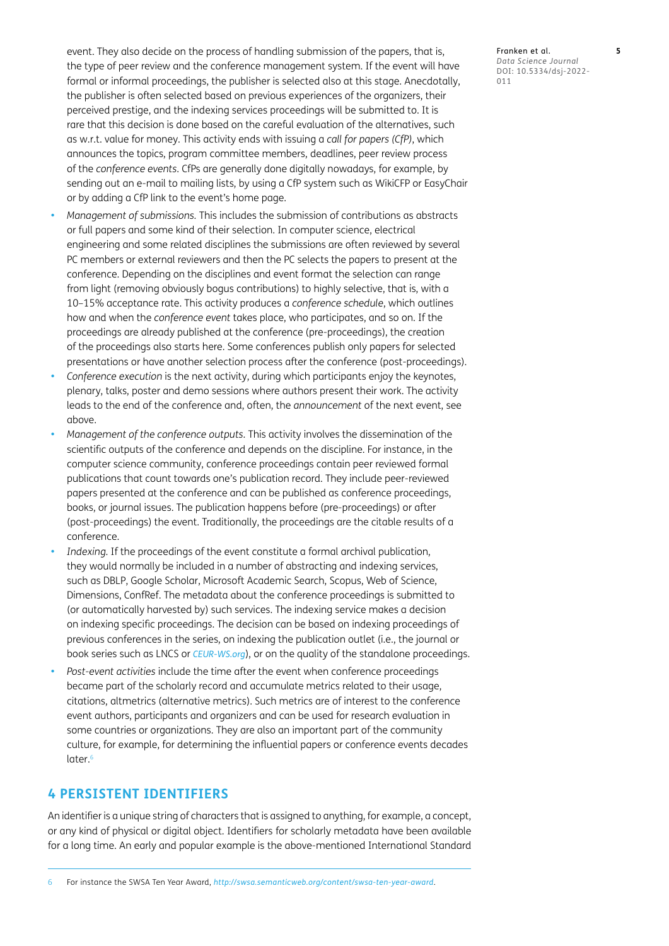event. They also decide on the process of handling submission of the papers, that is, the type of peer review and the conference management system. If the event will have formal or informal proceedings, the publisher is selected also at this stage. Anecdotally, the publisher is often selected based on previous experiences of the organizers, their perceived prestige, and the indexing services proceedings will be submitted to. It is rare that this decision is done based on the careful evaluation of the alternatives, such as w.r.t. value for money. This activity ends with issuing a *call for papers (CfP)*, which announces the topics, program committee members, deadlines, peer review process of the *conference events*. CfPs are generally done digitally nowadays, for example, by sending out an e-mail to mailing lists, by using a CfP system such as WikiCFP or EasyChair or by adding a CfP link to the event's home page.

- **•**  *Management of submissions.* This includes the submission of contributions as abstracts or full papers and some kind of their selection. In computer science, electrical engineering and some related disciplines the submissions are often reviewed by several PC members or external reviewers and then the PC selects the papers to present at the conference. Depending on the disciplines and event format the selection can range from light (removing obviously bogus contributions) to highly selective, that is, with a 10–15% acceptance rate. This activity produces a *conference schedule*, which outlines how and when the *conference event* takes place, who participates, and so on. If the proceedings are already published at the conference (pre-proceedings), the creation of the proceedings also starts here. Some conferences publish only papers for selected presentations or have another selection process after the conference (post-proceedings).
- Conference execution is the next activity, during which participants enjoy the keynotes, plenary, talks, poster and demo sessions where authors present their work. The activity leads to the end of the conference and, often, the *announcement* of the next event, see above.
- **•**  *Management of the conference outputs.* This activity involves the dissemination of the scientific outputs of the conference and depends on the discipline. For instance, in the computer science community, conference proceedings contain peer reviewed formal publications that count towards one's publication record. They include peer-reviewed papers presented at the conference and can be published as conference proceedings, books, or journal issues. The publication happens before (pre-proceedings) or after (post-proceedings) the event. Traditionally, the proceedings are the citable results of a conference.
- Indexing. If the proceedings of the event constitute a formal archival publication, they would normally be included in a number of abstracting and indexing services, such as DBLP, Google Scholar, Microsoft Academic Search, Scopus, Web of Science, Dimensions, ConfRef. The metadata about the conference proceedings is submitted to (or automatically harvested by) such services. The indexing service makes a decision on indexing specific proceedings. The decision can be based on indexing proceedings of previous conferences in the series, on indexing the publication outlet (i.e., the journal or book series such as LNCS or *[CEUR-WS.org](https://CEUR-WS.org)*), or on the quality of the standalone proceedings.
- Post-event activities include the time after the event when conference proceedings became part of the scholarly record and accumulate metrics related to their usage, citations, altmetrics (alternative metrics). Such metrics are of interest to the conference event authors, participants and organizers and can be used for research evaluation in some countries or organizations. They are also an important part of the community culture, for example, for determining the influential papers or conference events decades later.<sup>6</sup>

# **4 PERSISTENT IDENTIFIERS**

An identifier is a unique string of characters that is assigned to anything, for example, a concept, or any kind of physical or digital object. Identifiers for scholarly metadata have been available for a long time. An early and popular example is the above-mentioned International Standard

<span id="page-4-0"></span>6 For instance the SWSA Ten Year Award, *<http://swsa.semanticweb.org/content/swsa-ten-year-award>*.

Franken et al. **5** *Data Science Journal* DOI: 10.5334/dsj-2022- 011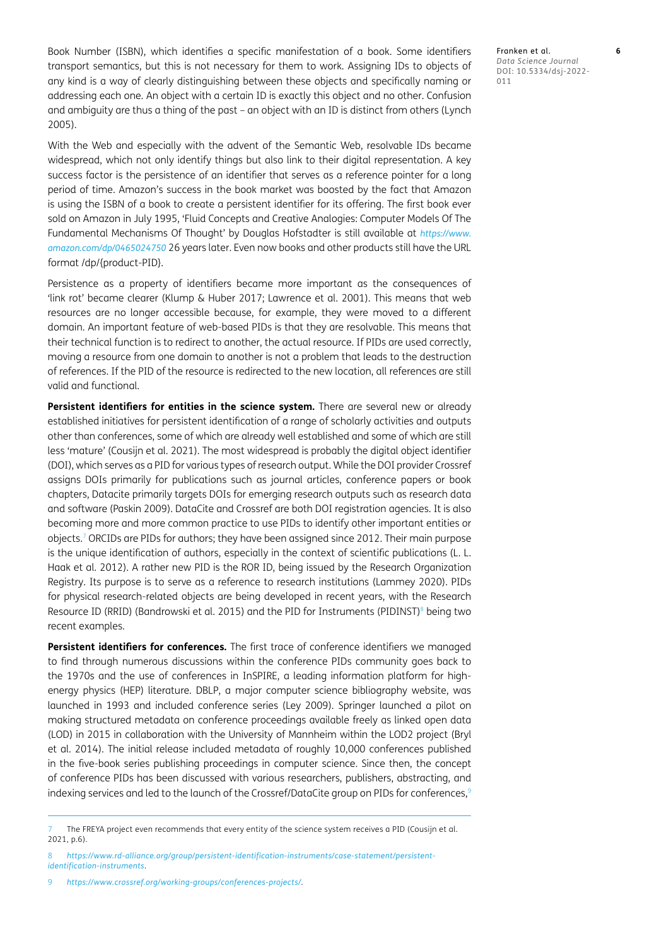Book Number (ISBN), which identifies a specific manifestation of a book. Some identifiers transport semantics, but this is not necessary for them to work. Assigning IDs to objects of any kind is a way of clearly distinguishing between these objects and specifically naming or addressing each one. An object with a certain ID is exactly this object and no other. Confusion and ambiguity are thus a thing of the past – an object with an ID is distinct from others ([Lynch](#page-16-4)  [2005](#page-16-4)).

With the Web and especially with the advent of the Semantic Web, resolvable IDs became widespread, which not only identify things but also link to their digital representation. A key success factor is the persistence of an identifier that serves as a reference pointer for a long period of time. Amazon's success in the book market was boosted by the fact that Amazon is using the ISBN of a book to create a persistent identifier for its offering. The first book ever sold on Amazon in July 1995, 'Fluid Concepts and Creative Analogies: Computer Models Of The Fundamental Mechanisms Of Thought' by Douglas Hofstadter is still available at *[https://www.](https://www.amazon.com/dp/0465024750) [amazon.com/dp/0465024750](https://www.amazon.com/dp/0465024750)* 26 years later. Even now books and other products still have the URL format /dp/{product-PID}.

Persistence as a property of identifiers became more important as the consequences of 'link rot' became clearer ([Klump & Huber 2017](#page-16-5); [Lawrence et al. 2001\)](#page-16-6). This means that web resources are no longer accessible because, for example, they were moved to a different domain. An important feature of web-based PIDs is that they are resolvable. This means that their technical function is to redirect to another, the actual resource. If PIDs are used correctly, moving a resource from one domain to another is not a problem that leads to the destruction of references. If the PID of the resource is redirected to the new location, all references are still valid and functional.

Persistent identifiers for entities in the science system. There are several new or already established initiatives for persistent identification of a range of scholarly activities and outputs other than conferences, some of which are already well established and some of which are still less 'mature' ([Cousijn et al. 2021\)](#page-16-3). The most widespread is probably the digital object identifier (DOI), which serves as a PID for various types of research output. While the DOI provider Crossref assigns DOIs primarily for publications such as journal articles, conference papers or book chapters, Datacite primarily targets DOIs for emerging research outputs such as research data and software (Paskin 2009). DataCite and Crossref are both DOI registration agencies. It is also becoming more and more common practice to use PIDs to identify other important entities or objects.[7](#page-5-0) ORCIDs are PIDs for authors; they have been assigned since 2012. Their main purpose is the unique identification of authors, especially in the context of scientific publications (L. L. [Haak et al. 2012\)](#page-16-7). A rather new PID is the ROR ID, being issued by the Research Organization Registry. Its purpose is to serve as a reference to research institutions ([Lammey 2020](#page-16-8)). PIDs for physical research-related objects are being developed in recent years, with the Research Resource ID (RRID) [\(Bandrowski et al. 2015\)](#page-15-2) and the PID for Instruments (PIDINST)<sup>8</sup> being two recent examples.

**Persistent identifiers for conferences.** The first trace of conference identifiers we managed to find through numerous discussions within the conference PIDs community goes back to the 1970s and the use of conferences in InSPIRE, a leading information platform for highenergy physics (HEP) literature. DBLP, a major computer science bibliography website, was launched in 1993 and included conference series [\(Ley 2009](#page-16-9)). Springer launched a pilot on making structured metadata on conference proceedings available freely as linked open data (LOD) in 2015 in collaboration with the University of Mannheim within the LOD2 project ([Bryl](#page-16-10)  [et al. 2014](#page-16-10)). The initial release included metadata of roughly 10,000 conferences published in the five-book series publishing proceedings in computer science. Since then, the concept of conference PIDs has been discussed with various researchers, publishers, abstracting, and indexing services and led to the launch of the Crossref/DataCite group on PIDs for conferences,<sup>[9](#page-5-2)</sup>

Franken et al. **6** *Data Science Journal* DOI: 10.5334/dsj-2022- 011

<span id="page-5-0"></span>The FREYA project even recommends that every entity of the science system receives a PID (Cousijn et al. [2021, p.6\)](#page-16-3).

<span id="page-5-1"></span><sup>8</sup> *[https://www.rd-alliance.org/group/persistent-identification-instruments/case-statement/persistent](https://www.rd-alliance.org/group/persistent-identification-instruments/case-statement/persistent-identification-instruments)[identification-instruments](https://www.rd-alliance.org/group/persistent-identification-instruments/case-statement/persistent-identification-instruments)*.

<span id="page-5-2"></span><sup>9</sup> *<https://www.crossref.org/working-groups/conferences-projects/>*.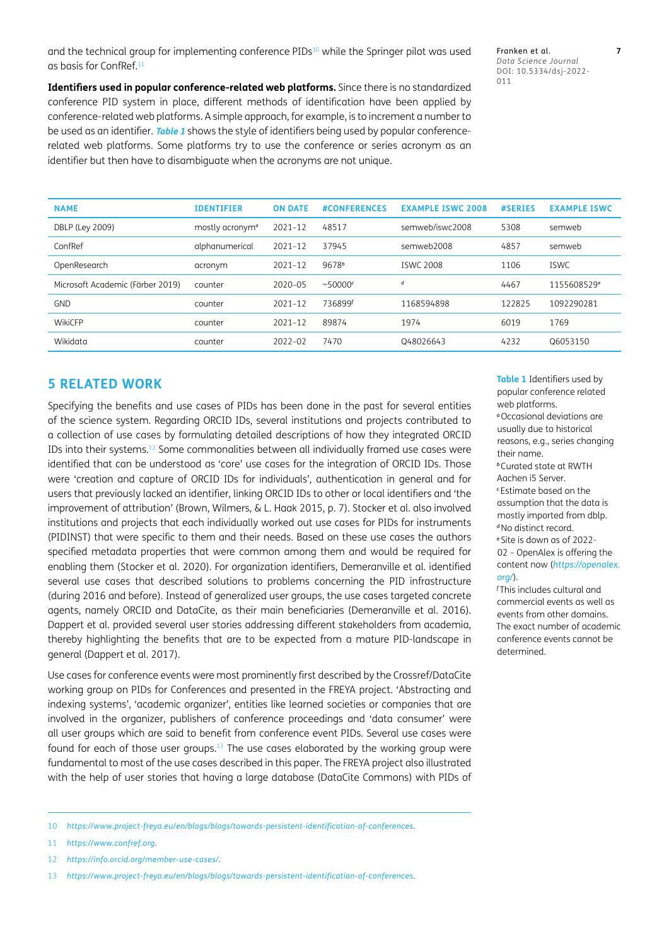and the technical group for implementing conference PIDs<sup>10</sup> while the Springer pilot was used as basis for ConfRef.[11](#page-6-1)

**Identifiers used in popular conference-related web platforms.** Since there is no standardized conference PID system in place, different methods of identification have been applied by conference-related web platforms. A simple approach, for example, is to increment a number to be used as an identifier. **Table 1** shows the style of identifiers being used by popular conferencerelated web platforms. Some platforms try to use the conference or series acronym as an identifier but then have to disambiguate when the acronyms are not unique.

Franken et al. **7** *Data Science Journal* DOI: 10.5334/dsj-2022- 011

| <b>NAME</b>                      | <b>IDENTIFIER</b>           | <b>ON DATE</b> | <b>#CONFERENCES</b> | <b>EXAMPLE ISWC 2008</b> | #SERIES | <b>EXAMPLE ISWC</b>     |
|----------------------------------|-----------------------------|----------------|---------------------|--------------------------|---------|-------------------------|
| DBLP (Ley 2009)                  | mostly acronym <sup>a</sup> | $2021 - 12$    | 48517               | semweb/iswc2008          | 5308    | semweb                  |
| ConfRef                          | alphanumerical              | $2021 - 12$    | 37945               | semweb2008               | 4857    | semweb                  |
| OpenResearch                     | acronym                     | $2021 - 12$    | 9678 <sup>b</sup>   | <b>ISWC 2008</b>         | 1106    | <b>ISWC</b>             |
| Microsoft Academic (Färber 2019) | counter                     | $2020 - 05$    | ~50000              | d                        | 4467    | 1155608529 <sup>e</sup> |
| <b>GND</b>                       | counter                     | $2021 - 12$    | 736899f             | 1168594898               | 122825  | 1092290281              |
| WikiCFP                          | counter                     | $2021 - 12$    | 89874               | 1974                     | 6019    | 1769                    |
| Wikidata                         | counter                     | $2022 - 02$    | 7470                | Q48026643                | 4232    | Q6053150                |

# **5 RELATED WORK**

Specifying the benefits and use cases of PIDs has been done in the past for several entities of the science system. Regarding ORCID IDs, several institutions and projects contributed to a collection of use cases by formulating detailed descriptions of how they integrated ORCID IDs into their systems.[12](#page-6-2) Some commonalities between all individually framed use cases were identified that can be understood as 'core' use cases for the integration of ORCID IDs. Those were 'creation and capture of ORCID IDs for individuals', authentication in general and for users that previously lacked an identifier, linking ORCID IDs to other or local identifiers and 'the improvement of attribution' [\(Brown, Wilmers, & L. Haak 2015, p. 7](#page-16-11)). Stocker et al. also involved institutions and projects that each individually worked out use cases for PIDs for instruments (PIDINST) that were specific to them and their needs. Based on these use cases the authors specified metadata properties that were common among them and would be required for enabling them (Stocker et al. 2020). For organization identifiers, Demeranville et al. identified several use cases that described solutions to problems concerning the PID infrastructure (during 2016 and before). Instead of generalized user groups, the use cases targeted concrete agents, namely ORCID and DataCite, as their main beneficiaries ([Demeranville et al. 2016](#page-16-12)). Dappert et al. provided several user stories addressing different stakeholders from academia, thereby highlighting the benefits that are to be expected from a mature PID-landscape in general ([Dappert et al. 2017](#page-16-13)).

Use cases for conference events were most prominently first described by the Crossref/DataCite working group on PIDs for Conferences and presented in the FREYA project. 'Abstracting and indexing systems', 'academic organizer', entities like learned societies or companies that are involved in the organizer, publishers of conference proceedings and 'data consumer' were all user groups which are said to benefit from conference event PIDs. Several use cases were found for each of those user groups.[13](#page-6-3) The use cases elaborated by the working group were fundamental to most of the use cases described in this paper. The FREYA project also illustrated with the help of user stories that having a large database (DataCite Commons) with PIDs of

<span id="page-6-3"></span>10 *<https://www.project-freya.eu/en/blogs/blogs/towards-persistent-identification-of-conferences>*.

<span id="page-6-1"></span>11 *<https://www.confref.org>*.

<span id="page-6-2"></span>12 *<https://info.orcid.org/member-use-cases/>*.

<span id="page-6-0"></span>13 *<https://www.project-freya.eu/en/blogs/blogs/towards-persistent-identification-of-conferences>*.

**Table 1** Identifiers used by popular conference related web platforms. *<sup>a</sup>*Occasional deviations are

usually due to historical reasons, e.g., series changing their name. *<sup>b</sup>*Curated state at RWTH Aachen i5 Server. *<sup>c</sup>*Estimate based on the assumption that the data is mostly imported from dblp. *<sup>d</sup>*No distinct record. *<sup>e</sup>*Site is down as of 2022- 02 – OpenAlex is offering the content now (*[https://openalex.](https://openalex.org/)*

*<sup>f</sup>*This includes cultural and commercial events as well as events from other domains. The exact number of academic conference events cannot be determined.

*[org/](https://openalex.org/)*).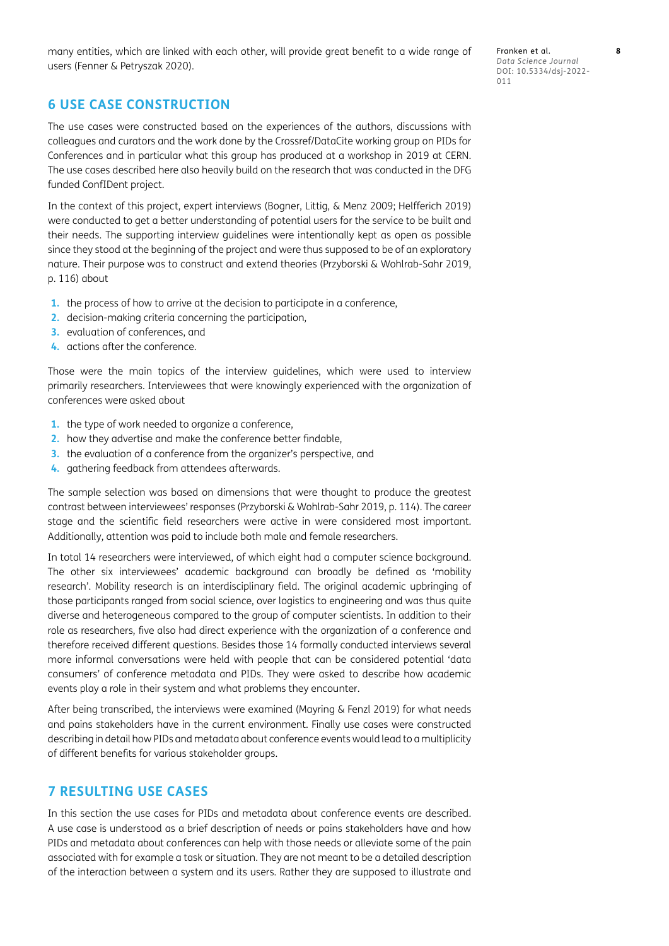many entities, which are linked with each other, will provide great benefit to a wide range of users [\(Fenner & Petryszak 2020\)](#page-16-14).

Franken et al. **8** *Data Science Journal* DOI: 10.5334/dsj-2022- 011

# **6 USE CASE CONSTRUCTION**

The use cases were constructed based on the experiences of the authors, discussions with colleagues and curators and the work done by the Crossref/DataCite working group on PIDs for Conferences and in particular what this group has produced at a workshop in 2019 at CERN. The use cases described here also heavily build on the research that was conducted in the DFG funded ConfIDent project.

In the context of this project, expert interviews [\(Bogner, Littig, & Menz 2009](#page-16-15); [Helfferich 2019\)](#page-16-16) were conducted to get a better understanding of potential users for the service to be built and their needs. The supporting interview guidelines were intentionally kept as open as possible since they stood at the beginning of the project and were thus supposed to be of an exploratory nature. Their purpose was to construct and extend theories (Przyborski & Wohlrab-Sahr 2019, p. 116) about

- **1.** the process of how to arrive at the decision to participate in a conference,
- **2.** decision-making criteria concerning the participation,
- **3.** evaluation of conferences, and
- **4.** actions after the conference.

Those were the main topics of the interview guidelines, which were used to interview primarily researchers. Interviewees that were knowingly experienced with the organization of conferences were asked about

- **1.** the type of work needed to organize a conference,
- **2.** how they advertise and make the conference better findable,
- **3.** the evaluation of a conference from the organizer's perspective, and
- **4.** gathering feedback from attendees afterwards.

The sample selection was based on dimensions that were thought to produce the greatest contrast between interviewees' responses (Przyborski & Wohlrab-Sahr 2019, p. 114). The career stage and the scientific field researchers were active in were considered most important. Additionally, attention was paid to include both male and female researchers.

In total 14 researchers were interviewed, of which eight had a computer science background. The other six interviewees' academic background can broadly be defined as 'mobility research'. Mobility research is an interdisciplinary field. The original academic upbringing of those participants ranged from social science, over logistics to engineering and was thus quite diverse and heterogeneous compared to the group of computer scientists. In addition to their role as researchers, five also had direct experience with the organization of a conference and therefore received different questions. Besides those 14 formally conducted interviews several more informal conversations were held with people that can be considered potential 'data consumers' of conference metadata and PIDs. They were asked to describe how academic events play a role in their system and what problems they encounter.

After being transcribed, the interviews were examined [\(Mayring & Fenzl 2019\)](#page-16-17) for what needs and pains stakeholders have in the current environment. Finally use cases were constructed describing in detail how PIDs and metadata about conference events would lead to a multiplicity of different benefits for various stakeholder groups.

# **7 RESULTING USE CASES**

In this section the use cases for PIDs and metadata about conference events are described. A use case is understood as a brief description of needs or pains stakeholders have and how PIDs and metadata about conferences can help with those needs or alleviate some of the pain associated with for example a task or situation. They are not meant to be a detailed description of the interaction between a system and its users. Rather they are supposed to illustrate and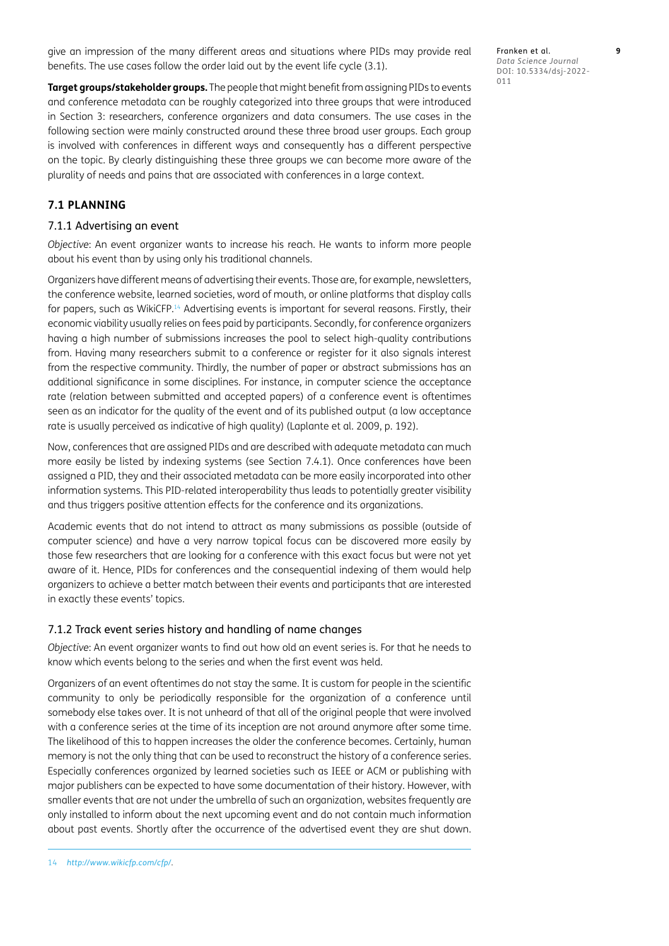give an impression of the many different areas and situations where PIDs may provide real benefits. The use cases follow the order laid out by the event life cycle (3.1).

Franken et al. **9** *Data Science Journal* DOI: 10.5334/dsj-2022- 011

**Target groups/stakeholder groups.** The people that might benefit from assigning PIDs to events and conference metadata can be roughly categorized into three groups that were introduced in Section 3: researchers, conference organizers and data consumers. The use cases in the following section were mainly constructed around these three broad user groups. Each group is involved with conferences in different ways and consequently has a different perspective on the topic. By clearly distinguishing these three groups we can become more aware of the plurality of needs and pains that are associated with conferences in a large context.

# **7.1 PLANNING**

#### 7.1.1 Advertising an event

*Objective*: An event organizer wants to increase his reach. He wants to inform more people about his event than by using only his traditional channels.

Organizers have different means of advertising their events. Those are, for example, newsletters, the conference website, learned societies, word of mouth, or online platforms that display calls for papers, such as WikiCFP.<sup>14</sup> Advertising events is important for several reasons. Firstly, their economic viability usually relies on fees paid by participants. Secondly, for conference organizers having a high number of submissions increases the pool to select high-quality contributions from. Having many researchers submit to a conference or register for it also signals interest from the respective community. Thirdly, the number of paper or abstract submissions has an additional significance in some disciplines. For instance, in computer science the acceptance rate (relation between submitted and accepted papers) of a conference event is oftentimes seen as an indicator for the quality of the event and of its published output (a low acceptance rate is usually perceived as indicative of high quality) [\(Laplante et al. 2009, p. 192](#page-16-18)).

Now, conferences that are assigned PIDs and are described with adequate metadata can much more easily be listed by indexing systems (see Section 7.4.1). Once conferences have been assigned a PID, they and their associated metadata can be more easily incorporated into other information systems. This PID-related interoperability thus leads to potentially greater visibility and thus triggers positive attention effects for the conference and its organizations.

Academic events that do not intend to attract as many submissions as possible (outside of computer science) and have a very narrow topical focus can be discovered more easily by those few researchers that are looking for a conference with this exact focus but were not yet aware of it. Hence, PIDs for conferences and the consequential indexing of them would help organizers to achieve a better match between their events and participants that are interested in exactly these events' topics.

### 7.1.2 Track event series history and handling of name changes

*Objective*: An event organizer wants to find out how old an event series is. For that he needs to know which events belong to the series and when the first event was held.

<span id="page-8-0"></span>Organizers of an event oftentimes do not stay the same. It is custom for people in the scientific community to only be periodically responsible for the organization of a conference until somebody else takes over. It is not unheard of that all of the original people that were involved with a conference series at the time of its inception are not around anymore after some time. The likelihood of this to happen increases the older the conference becomes. Certainly, human memory is not the only thing that can be used to reconstruct the history of a conference series. Especially conferences organized by learned societies such as IEEE or ACM or publishing with major publishers can be expected to have some documentation of their history. However, with smaller events that are not under the umbrella of such an organization, websites frequently are only installed to inform about the next upcoming event and do not contain much information about past events. Shortly after the occurrence of the advertised event they are shut down.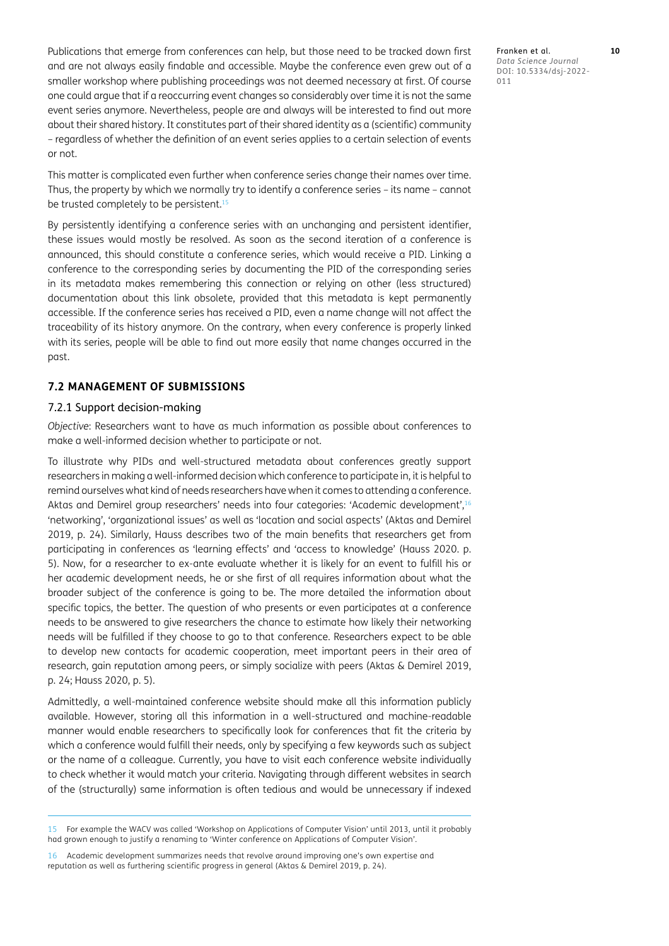Publications that emerge from conferences can help, but those need to be tracked down first and are not always easily findable and accessible. Maybe the conference even grew out of a smaller workshop where publishing proceedings was not deemed necessary at first. Of course one could argue that if a reoccurring event changes so considerably over time it is not the same event series anymore. Nevertheless, people are and always will be interested to find out more about their shared history. It constitutes part of their shared identity as a (scientific) community – regardless of whether the definition of an event series applies to a certain selection of events or not.

This matter is complicated even further when conference series change their names over time. Thus, the property by which we normally try to identify a conference series – its name – cannot be trusted completely to be persistent.<sup>15</sup>

By persistently identifying a conference series with an unchanging and persistent identifier, these issues would mostly be resolved. As soon as the second iteration of a conference is announced, this should constitute a conference series, which would receive a PID. Linking a conference to the corresponding series by documenting the PID of the corresponding series in its metadata makes remembering this connection or relying on other (less structured) documentation about this link obsolete, provided that this metadata is kept permanently accessible. If the conference series has received a PID, even a name change will not affect the traceability of its history anymore. On the contrary, when every conference is properly linked with its series, people will be able to find out more easily that name changes occurred in the past.

# **7.2 MANAGEMENT OF SUBMISSIONS**

#### 7.2.1 Support decision-making

*Objective*: Researchers want to have as much information as possible about conferences to make a well-informed decision whether to participate or not.

To illustrate why PIDs and well-structured metadata about conferences greatly support researchers in making a well-informed decision which conference to participate in, it is helpful to remind ourselves what kind of needs researchers have when it comes to attending a conference. Aktas and Demirel group researchers' needs into four categories: 'Academic development',16 'networking', 'organizational issues' as well as 'location and social aspects' [\(Aktas and Demirel](#page-15-3)  [2019](#page-15-3), p. 24). Similarly, Hauss describes two of the main benefits that researchers get from participating in conferences as 'learning effects' and 'access to knowledge' [\(Hauss 2020. p.](#page-16-19)  [5\)](#page-16-19). Now, for a researcher to ex-ante evaluate whether it is likely for an event to fulfill his or her academic development needs, he or she first of all requires information about what the broader subject of the conference is going to be. The more detailed the information about specific topics, the better. The question of who presents or even participates at a conference needs to be answered to give researchers the chance to estimate how likely their networking needs will be fulfilled if they choose to go to that conference. Researchers expect to be able to develop new contacts for academic cooperation, meet important peers in their area of research, gain reputation among peers, or simply socialize with peers ([Aktas & Demirel 2019,](#page-15-3)  [p. 24](#page-15-3); [Hauss 2020, p. 5\)](#page-16-19).

Admittedly, a well-maintained conference website should make all this information publicly available. However, storing all this information in a well-structured and machine-readable manner would enable researchers to specifically look for conferences that fit the criteria by which a conference would fulfill their needs, only by specifying a few keywords such as subject or the name of a colleague. Currently, you have to visit each conference website individually to check whether it would match your criteria. Navigating through different websites in search of the (structurally) same information is often tedious and would be unnecessary if indexed

<sup>15</sup> For example the WACV was called 'Workshop on Applications of Computer Vision' until 2013, until it probably had grown enough to justify a renaming to 'Winter conference on Applications of Computer Vision'.

<sup>16</sup> Academic development summarizes needs that revolve around improving one's own expertise and reputation as well as furthering scientific progress in general ([Aktas & Demirel 2019, p. 24\)](#page-15-3).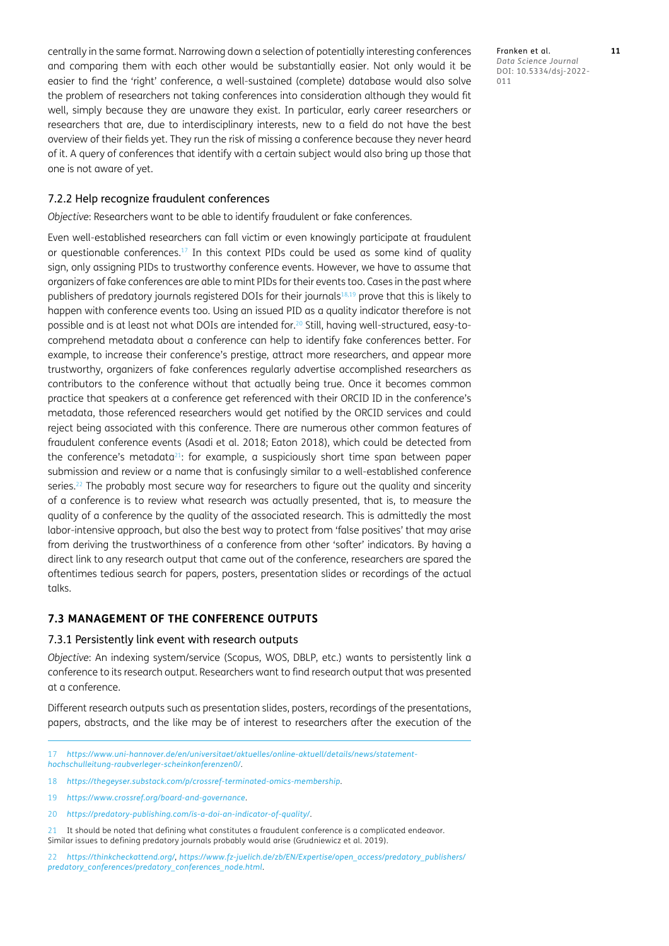centrally in the same format. Narrowing down a selection of potentially interesting conferences and comparing them with each other would be substantially easier. Not only would it be easier to find the 'right' conference, a well-sustained (complete) database would also solve the problem of researchers not taking conferences into consideration although they would fit well, simply because they are unaware they exist. In particular, early career researchers or researchers that are, due to interdisciplinary interests, new to a field do not have the best overview of their fields yet. They run the risk of missing a conference because they never heard of it. A query of conferences that identify with a certain subject would also bring up those that one is not aware of yet.

#### 7.2.2 Help recognize fraudulent conferences

*Objective*: Researchers want to be able to identify fraudulent or fake conferences.

Even well-established researchers can fall victim or even knowingly participate at fraudulent or questionable conferences. $17$  In this context PIDs could be used as some kind of quality sign, only assigning PIDs to trustworthy conference events. However, we have to assume that organizers of fake conferences are able to mint PIDs for their events too. Cases in the past where publishers of predatory journals registered DOIs for their journal[s18](#page-10-1)[,19](#page-10-2) prove that this is likely to happen with conference events too. Using an issued PID as a quality indicator therefore is not possible and is at least not what DOIs are intended for[.20](#page-10-3) Still, having well-structured, easy-tocomprehend metadata about a conference can help to identify fake conferences better. For example, to increase their conference's prestige, attract more researchers, and appear more trustworthy, organizers of fake conferences regularly advertise accomplished researchers as contributors to the conference without that actually being true. Once it becomes common practice that speakers at a conference get referenced with their ORCID ID in the conference's metadata, those referenced researchers would get notified by the ORCID services and could reject being associated with this conference. There are numerous other common features of fraudulent conference events ([Asadi et al. 2018;](#page-15-4) [Eaton 2018\)](#page-16-20), which could be detected from the conference's metadata $21$ : for example, a suspiciously short time span between paper submission and review or a name that is confusingly similar to a well-established conference series.<sup>22</sup> The probably most secure way for researchers to figure out the quality and sincerity of a conference is to review what research was actually presented, that is, to measure the quality of a conference by the quality of the associated research. This is admittedly the most labor-intensive approach, but also the best way to protect from 'false positives' that may arise from deriving the trustworthiness of a conference from other 'softer' indicators. By having a direct link to any research output that came out of the conference, researchers are spared the oftentimes tedious search for papers, posters, presentation slides or recordings of the actual talks.

#### **7.3 MANAGEMENT OF THE CONFERENCE OUTPUTS**

#### 7.3.1 Persistently link event with research outputs

*Objective*: An indexing system/service (Scopus, WOS, DBLP, etc.) wants to persistently link a conference to its research output. Researchers want to find research output that was presented at a conference.

Different research outputs such as presentation slides, posters, recordings of the presentations, papers, abstracts, and the like may be of interest to researchers after the execution of the

Franken et al. **11** *Data Science Journal* DOI: 10.5334/dsj-2022- 011

<span id="page-10-0"></span><sup>17</sup> *[https://www.uni-hannover.de/en/universitaet/aktuelles/online-aktuell/details/news/statement](https://www.uni-hannover.de/en/universitaet/aktuelles/online-aktuell/details/news/statement-hochschulleitung-raubverleger-scheinkonferenzen0/)[hochschulleitung-raubverleger-scheinkonferenzen0/](https://www.uni-hannover.de/en/universitaet/aktuelles/online-aktuell/details/news/statement-hochschulleitung-raubverleger-scheinkonferenzen0/)*.

<span id="page-10-1"></span><sup>18</sup> *<https://thegeyser.substack.com/p/crossref-terminated-omics-membership>*.

<span id="page-10-2"></span><sup>19</sup> *<https://www.crossref.org/board-and-governance>*.

<span id="page-10-3"></span><sup>20</sup> *<https://predatory-publishing.com/is-a-doi-an-indicator-of-quality/>*.

<span id="page-10-4"></span><sup>21</sup> It should be noted that defining what constitutes a fraudulent conference is a complicated endeavor. Similar issues to defining predatory journals probably would arise ([Grudniewicz et al. 2019](#page-16-21)).

<span id="page-10-5"></span><sup>22</sup> *<https://thinkcheckattend.org/>*, *[https://www.fz-juelich.de/zb/EN/Expertise/open\\_access/predatory\\_publishers/](https://www.fz-juelich.de/zb/EN/Expertise/open_access/predatory_publishers/predatory_conferences/predatory_conferences_node.html) [predatory\\_conferences/predatory\\_conferences\\_node.html](https://www.fz-juelich.de/zb/EN/Expertise/open_access/predatory_publishers/predatory_conferences/predatory_conferences_node.html)*.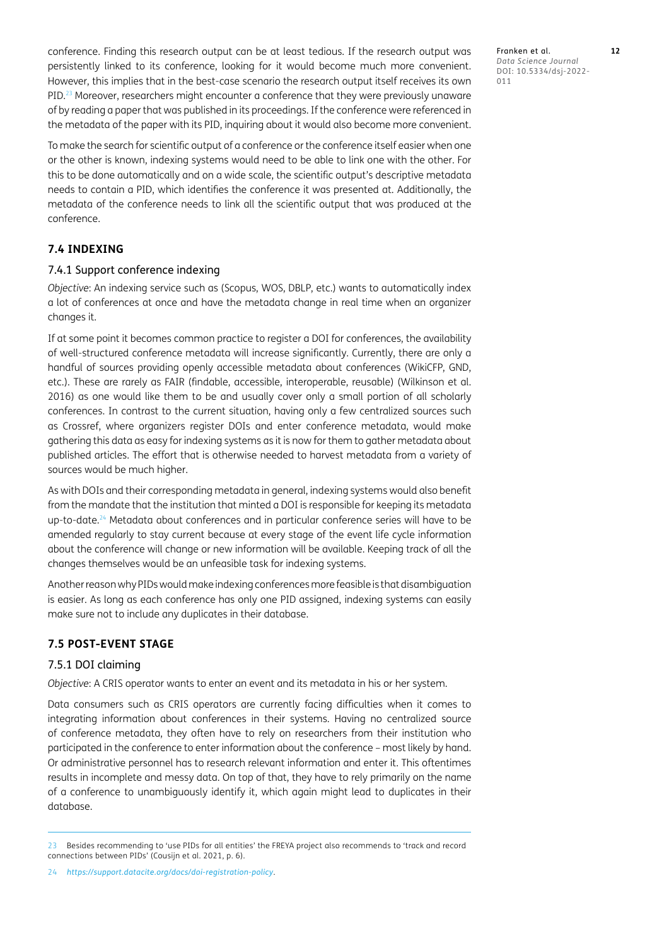conference. Finding this research output can be at least tedious. If the research output was persistently linked to its conference, looking for it would become much more convenient. However, this implies that in the best-case scenario the research output itself receives its own PID.23 Moreover, researchers might encounter a conference that they were previously unaware of by reading a paper that was published in its proceedings. If the conference were referenced in the metadata of the paper with its PID, inquiring about it would also become more convenient.

To make the search for scientific output of a conference or the conference itself easier when one or the other is known, indexing systems would need to be able to link one with the other. For this to be done automatically and on a wide scale, the scientific output's descriptive metadata needs to contain a PID, which identifies the conference it was presented at. Additionally, the metadata of the conference needs to link all the scientific output that was produced at the conference.

# **7.4 INDEXING**

#### 7.4.1 Support conference indexing

*Objective*: An indexing service such as (Scopus, WOS, DBLP, etc.) wants to automatically index a lot of conferences at once and have the metadata change in real time when an organizer changes it.

If at some point it becomes common practice to register a DOI for conferences, the availability of well-structured conference metadata will increase significantly. Currently, there are only a handful of sources providing openly accessible metadata about conferences (WikiCFP, GND, etc.). These are rarely as FAIR (findable, accessible, interoperable, reusable) (Wilkinson et al. 2016) as one would like them to be and usually cover only a small portion of all scholarly conferences. In contrast to the current situation, having only a few centralized sources such as Crossref, where organizers register DOIs and enter conference metadata, would make gathering this data as easy for indexing systems as it is now for them to gather metadata about published articles. The effort that is otherwise needed to harvest metadata from a variety of sources would be much higher.

As with DOIs and their corresponding metadata in general, indexing systems would also benefit from the mandate that the institution that minted a DOI is responsible for keeping its metadata up-to-date.[24](#page-11-0) Metadata about conferences and in particular conference series will have to be amended regularly to stay current because at every stage of the event life cycle information about the conference will change or new information will be available. Keeping track of all the changes themselves would be an unfeasible task for indexing systems.

Another reason why PIDs would make indexing conferences more feasible is that disambiguation is easier. As long as each conference has only one PID assigned, indexing systems can easily make sure not to include any duplicates in their database.

# **7.5 POST-EVENT STAGE**

#### 7.5.1 DOI claiming

*Objective*: A CRIS operator wants to enter an event and its metadata in his or her system.

Data consumers such as CRIS operators are currently facing difficulties when it comes to integrating information about conferences in their systems. Having no centralized source of conference metadata, they often have to rely on researchers from their institution who participated in the conference to enter information about the conference – most likely by hand. Or administrative personnel has to research relevant information and enter it. This oftentimes results in incomplete and messy data. On top of that, they have to rely primarily on the name of a conference to unambiguously identify it, which again might lead to duplicates in their database.

Franken et al. **12** *Data Science Journal* DOI: 10.5334/dsj-2022- 011

<span id="page-11-0"></span><sup>23</sup> Besides recommending to 'use PIDs for all entities' the FREYA project also recommends to 'track and record connections between PIDs' ([Cousijn et al. 2021, p. 6\)](#page-16-3).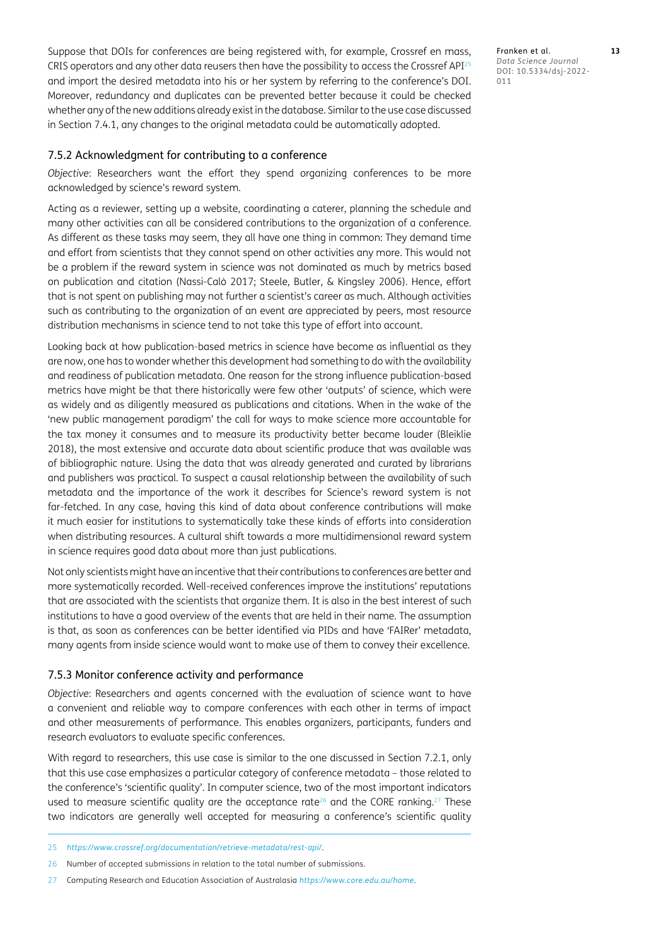Suppose that DOIs for conferences are being registered with, for example, Crossref en mass, CRIS operators and any other data reusers then have the possibility to access the Crossref API $^{25}$  $^{25}$  $^{25}$ and import the desired metadata into his or her system by referring to the conference's DOI. Moreover, redundancy and duplicates can be prevented better because it could be checked whether any of the new additions already exist in the database. Similar to the use case discussed in Section 7.4.1, any changes to the original metadata could be automatically adopted.

#### 7.5.2 Acknowledgment for contributing to a conference

*Objective*: Researchers want the effort they spend organizing conferences to be more acknowledged by science's reward system.

Acting as a reviewer, setting up a website, coordinating a caterer, planning the schedule and many other activities can all be considered contributions to the organization of a conference. As different as these tasks may seem, they all have one thing in common: They demand time and effort from scientists that they cannot spend on other activities any more. This would not be a problem if the reward system in science was not dominated as much by metrics based on publication and citation (Nassi-Calò 2017; Steele, Butler, & Kingsley 2006). Hence, effort that is not spent on publishing may not further a scientist's career as much. Although activities such as contributing to the organization of an event are appreciated by peers, most resource distribution mechanisms in science tend to not take this type of effort into account.

Looking back at how publication-based metrics in science have become as influential as they are now, one has to wonder whether this development had something to do with the availability and readiness of publication metadata. One reason for the strong influence publication-based metrics have might be that there historically were few other 'outputs' of science, which were as widely and as diligently measured as publications and citations. When in the wake of the 'new public management paradigm' the call for ways to make science more accountable for the tax money it consumes and to measure its productivity better became louder ([Bleiklie](#page-16-22)  [2018](#page-16-22)), the most extensive and accurate data about scientific produce that was available was of bibliographic nature. Using the data that was already generated and curated by librarians and publishers was practical. To suspect a causal relationship between the availability of such metadata and the importance of the work it describes for Science's reward system is not far-fetched. In any case, having this kind of data about conference contributions will make it much easier for institutions to systematically take these kinds of efforts into consideration when distributing resources. A cultural shift towards a more multidimensional reward system in science requires good data about more than just publications.

Not only scientists might have an incentive that their contributions to conferences are better and more systematically recorded. Well-received conferences improve the institutions' reputations that are associated with the scientists that organize them. It is also in the best interest of such institutions to have a good overview of the events that are held in their name. The assumption is that, as soon as conferences can be better identified via PIDs and have 'FAIRer' metadata, many agents from inside science would want to make use of them to convey their excellence.

#### 7.5.3 Monitor conference activity and performance

*Objective*: Researchers and agents concerned with the evaluation of science want to have a convenient and reliable way to compare conferences with each other in terms of impact and other measurements of performance. This enables organizers, participants, funders and research evaluators to evaluate specific conferences.

With regard to researchers, this use case is similar to the one discussed in Section 7.2.1, only that this use case emphasizes a particular category of conference metadata – those related to the conference's 'scientific quality'. In computer science, two of the most important indicators used to measure scientific quality are the acceptance rate<sup>26</sup> and the CORE ranking.<sup>27</sup> These two indicators are generally well accepted for measuring a conference's scientific quality

Franken et al. **13** *Data Science Journal* DOI: 10.5334/dsj-2022- 011

<span id="page-12-0"></span><sup>25</sup> *<https://www.crossref.org/documentation/retrieve-metadata/rest-api/>*.

<span id="page-12-1"></span><sup>26</sup> Number of accepted submissions in relation to the total number of submissions.

<span id="page-12-2"></span><sup>27</sup> Computing Research and Education Association of Australasia *<https://www.core.edu.au/home>*.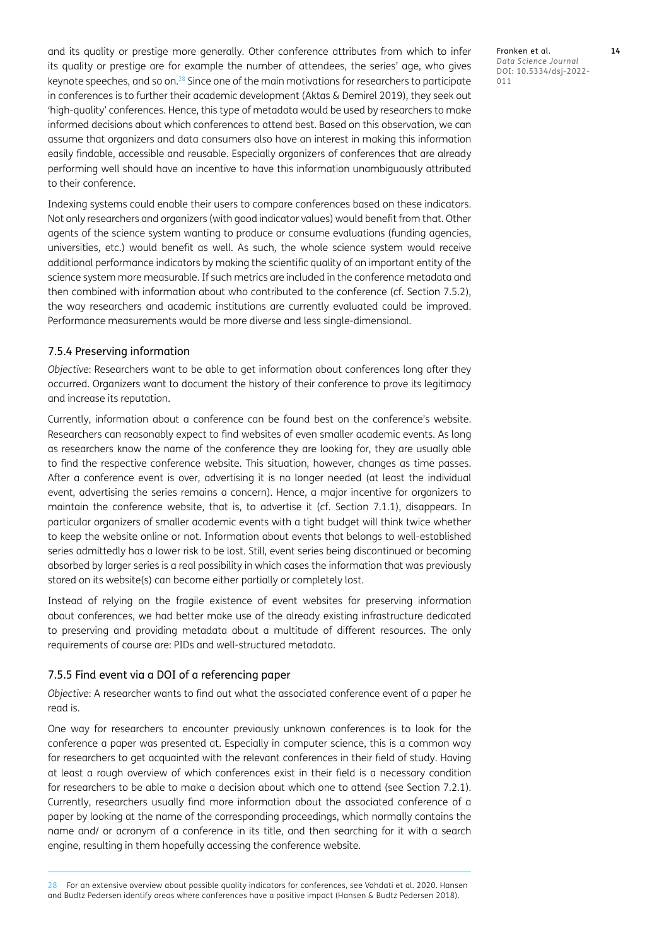and its quality or prestige more generally. Other conference attributes from which to infer its quality or prestige are for example the number of attendees, the series' age, who gives keynote speeches, and so on.<sup>28</sup> Since one of the main motivations for researchers to participate in conferences is to further their academic development ([Aktas & Demirel 2019](#page-15-3)), they seek out 'high-quality' conferences. Hence, this type of metadata would be used by researchers to make informed decisions about which conferences to attend best. Based on this observation, we can assume that organizers and data consumers also have an interest in making this information easily findable, accessible and reusable. Especially organizers of conferences that are already performing well should have an incentive to have this information unambiguously attributed to their conference.

Indexing systems could enable their users to compare conferences based on these indicators. Not only researchers and organizers (with good indicator values) would benefit from that. Other agents of the science system wanting to produce or consume evaluations (funding agencies, universities, etc.) would benefit as well. As such, the whole science system would receive additional performance indicators by making the scientific quality of an important entity of the science system more measurable. If such metrics are included in the conference metadata and then combined with information about who contributed to the conference (cf. Section 7.5.2), the way researchers and academic institutions are currently evaluated could be improved. Performance measurements would be more diverse and less single-dimensional.

#### 7.5.4 Preserving information

*Objective*: Researchers want to be able to get information about conferences long after they occurred. Organizers want to document the history of their conference to prove its legitimacy and increase its reputation.

Currently, information about a conference can be found best on the conference's website. Researchers can reasonably expect to find websites of even smaller academic events. As long as researchers know the name of the conference they are looking for, they are usually able to find the respective conference website. This situation, however, changes as time passes. After a conference event is over, advertising it is no longer needed (at least the individual event, advertising the series remains a concern). Hence, a major incentive for organizers to maintain the conference website, that is, to advertise it (cf. Section 7.1.1), disappears. In particular organizers of smaller academic events with a tight budget will think twice whether to keep the website online or not. Information about events that belongs to well-established series admittedly has a lower risk to be lost. Still, event series being discontinued or becoming absorbed by larger series is a real possibility in which cases the information that was previously stored on its website(s) can become either partially or completely lost.

Instead of relying on the fragile existence of event websites for preserving information about conferences, we had better make use of the already existing infrastructure dedicated to preserving and providing metadata about a multitude of different resources. The only requirements of course are: PIDs and well-structured metadata.

#### 7.5.5 Find event via a DOI of a referencing paper

*Objective*: A researcher wants to find out what the associated conference event of a paper he read is.

One way for researchers to encounter previously unknown conferences is to look for the conference a paper was presented at. Especially in computer science, this is a common way for researchers to get acquainted with the relevant conferences in their field of study. Having at least a rough overview of which conferences exist in their field is a necessary condition for researchers to be able to make a decision about which one to attend (see Section 7.2.1). Currently, researchers usually find more information about the associated conference of a paper by looking at the name of the corresponding proceedings, which normally contains the name and/ or acronym of a conference in its title, and then searching for it with a search engine, resulting in them hopefully accessing the conference website.

<span id="page-13-0"></span>28 For an extensive overview about possible quality indicators for conferences, see Vahdati et al. 2020. Hansen and Budtz Pedersen identify areas where conferences have a positive impact ([Hansen & Budtz Pedersen 2018\)](#page-16-1).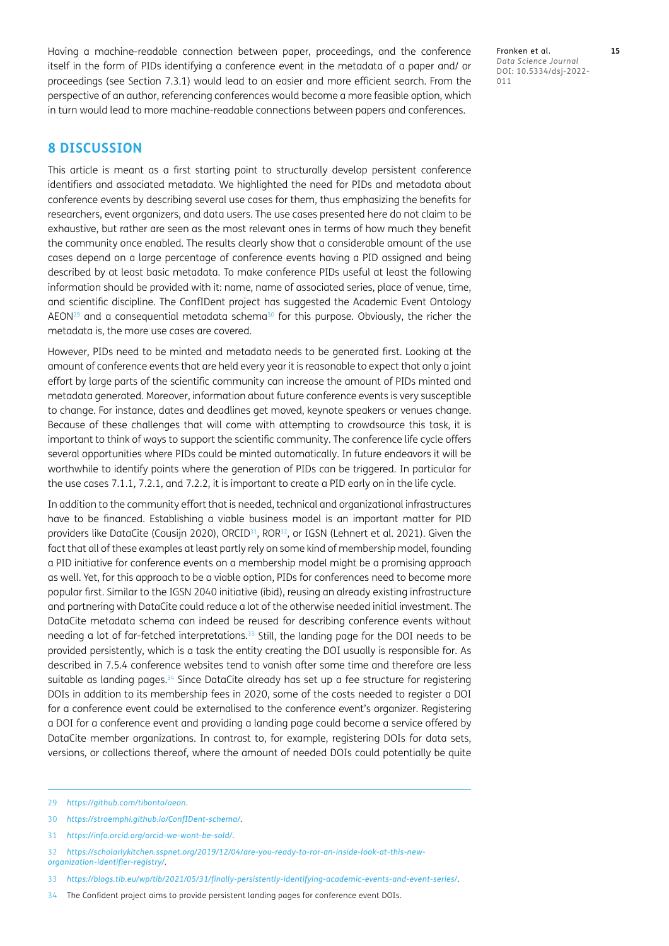Having a machine-readable connection between paper, proceedings, and the conference itself in the form of PIDs identifying a conference event in the metadata of a paper and/ or proceedings (see Section 7.3.1) would lead to an easier and more efficient search. From the perspective of an author, referencing conferences would become a more feasible option, which in turn would lead to more machine-readable connections between papers and conferences.

**8 DISCUSSION**

This article is meant as a first starting point to structurally develop persistent conference identifiers and associated metadata. We highlighted the need for PIDs and metadata about conference events by describing several use cases for them, thus emphasizing the benefits for researchers, event organizers, and data users. The use cases presented here do not claim to be exhaustive, but rather are seen as the most relevant ones in terms of how much they benefit the community once enabled. The results clearly show that a considerable amount of the use cases depend on a large percentage of conference events having a PID assigned and being described by at least basic metadata. To make conference PIDs useful at least the following information should be provided with it: name, name of associated series, place of venue, time, and scientific discipline. The ConfIDent project has suggested the Academic Event Ontology AEON<sup>29</sup> and a consequential metadata schema<sup>30</sup> for this purpose. Obviously, the richer the metadata is, the more use cases are covered.

However, PIDs need to be minted and metadata needs to be generated first. Looking at the amount of conference events that are held every year it is reasonable to expect that only a joint effort by large parts of the scientific community can increase the amount of PIDs minted and metadata generated. Moreover, information about future conference events is very susceptible to change. For instance, dates and deadlines get moved, keynote speakers or venues change. Because of these challenges that will come with attempting to crowdsource this task, it is important to think of ways to support the scientific community. The conference life cycle offers several opportunities where PIDs could be minted automatically. In future endeavors it will be worthwhile to identify points where the generation of PIDs can be triggered. In particular for the use cases 7.1.1, 7.2.1, and 7.2.2, it is important to create a PID early on in the life cycle.

In addition to the community effort that is needed, technical and organizational infrastructures have to be financed. Establishing a viable business model is an important matter for PID providers like DataCite ([Cousijn 2020\)](#page-16-23), ORCID<sup>31</sup>, ROR<sup>32</sup>, or IGSN ([Lehnert et al. 2021\)](#page-16-24). Given the fact that all of these examples at least partly rely on some kind of membership model, founding a PID initiative for conference events on a membership model might be a promising approach as well. Yet, for this approach to be a viable option, PIDs for conferences need to become more popular first. Similar to the IGSN 2040 initiative (ibid), reusing an already existing infrastructure and partnering with DataCite could reduce a lot of the otherwise needed initial investment. The DataCite metadata schema can indeed be reused for describing conference events without needing a lot of far-fetched interpretations.[33](#page-14-4) Still, the landing page for the DOI needs to be provided persistently, which is a task the entity creating the DOI usually is responsible for. As described in 7.5.4 conference websites tend to vanish after some time and therefore are less suitable as landing pages.<sup>34</sup> Since DataCite already has set up a fee structure for registering DOIs in addition to its membership fees in 2020, some of the costs needed to register a DOI for a conference event could be externalised to the conference event's organizer. Registering a DOI for a conference event and providing a landing page could become a service offered by DataCite member organizations. In contrast to, for example, registering DOIs for data sets, versions, or collections thereof, where the amount of needed DOIs could potentially be quite

Franken et al. **15** *Data Science Journal* DOI: 10.5334/dsj-2022- 011

<span id="page-14-0"></span><sup>29</sup> *<https://github.com/tibonto/aeon>*.

<span id="page-14-1"></span><sup>30</sup> *<https://stroemphi.github.io/ConfIDent-schema/>*.

<span id="page-14-2"></span><sup>31</sup> *<https://info.orcid.org/orcid-we-wont-be-sold/>*.

<span id="page-14-3"></span><sup>32</sup> *[https://scholarlykitchen.sspnet.org/2019/12/04/are-you-ready-to-ror-an-inside-look-at-this-new](https://scholarlykitchen.sspnet.org/2019/12/04/are-you-ready-to-ror-an-inside-look-at-this-new-organization-identifier-registry/)[organization-identifier-registry/](https://scholarlykitchen.sspnet.org/2019/12/04/are-you-ready-to-ror-an-inside-look-at-this-new-organization-identifier-registry/)*.

<span id="page-14-4"></span><sup>33</sup> *<https://blogs.tib.eu/wp/tib/2021/05/31/finally-persistently-identifying-academic-events-and-event-series/>*.

<span id="page-14-5"></span><sup>34</sup> The Confident project aims to provide persistent landing pages for conference event DOIs.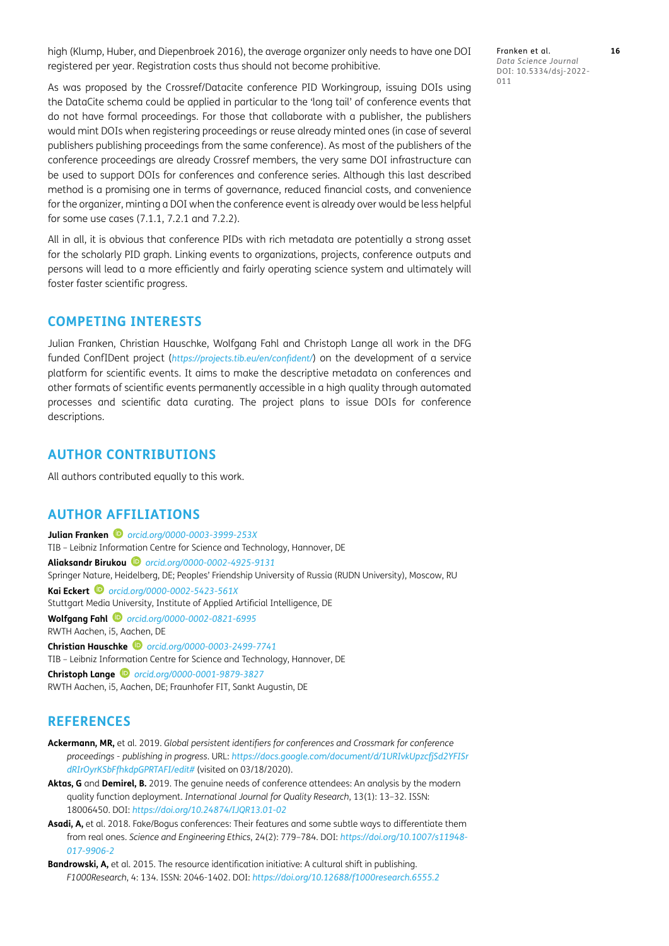high [\(Klump, Huber, and Diepenbroek 2016\)](#page-16-25), the average organizer only needs to have one DOI registered per year. Registration costs thus should not become prohibitive.

Franken et al. **16** *Data Science Journal* DOI: 10.5334/dsj-2022- 011

As was proposed by the Crossref/Datacite conference PID Workingroup, issuing DOIs using the DataCite schema could be applied in particular to the 'long tail' of conference events that do not have formal proceedings. For those that collaborate with a publisher, the publishers would mint DOIs when registering proceedings or reuse already minted ones (in case of several publishers publishing proceedings from the same conference). As most of the publishers of the conference proceedings are already Crossref members, the very same DOI infrastructure can be used to support DOIs for conferences and conference series. Although this last described method is a promising one in terms of governance, reduced financial costs, and convenience for the organizer, minting a DOI when the conference event is already over would be less helpful for some use cases (7.1.1, 7.2.1 and 7.2.2).

All in all, it is obvious that conference PIDs with rich metadata are potentially a strong asset for the scholarly PID graph. Linking events to organizations, projects, conference outputs and persons will lead to a more efficiently and fairly operating science system and ultimately will foster faster scientific progress.

# **COMPETING INTERESTS**

Julian Franken, Christian Hauschke, Wolfgang Fahl and Christoph Lange all work in the DFG funded ConfIDent project (*<https://projects.tib.eu/en/confident/>*) on the development of a service platform for scientific events. It aims to make the descriptive metadata on conferences and other formats of scientific events permanently accessible in a high quality through automated processes and scientific data curating. The project plans to issue DOIs for conference descriptions.

# **AUTHOR CONTRIBUTIONS**

All authors contributed equally to this work.

# <span id="page-15-0"></span>**AUTHOR AFFILIATIONS**

**Julian Franken** *[orcid.org/0000-0003-3999-253X](https://orcid.org/0000-0003-3999-253X)* TIB – Leibniz Information Centre for Science and Technology, Hannover, DE **Aliaksandr Birukou** *[orcid.org/0000-0002-4925-9131](https://orcid.org/0000-0002-4925-9131)* Springer Nature, Heidelberg, DE; Peoples' Friendship University of Russia (RUDN University), Moscow, RU **Kai Eckert** *[orcid.org/0000-0002-5423-561X](https://orcid.org/0000-0002-5423-561X)* Stuttgart Media University, Institute of Applied Artificial Intelligence, DE **Wolfgang Fahl** *[orcid.org/0000-0002-0821-6995](https://orcid.org/0000-0002-0821-6995)* RWTH Aachen, i5, Aachen, DE **Christian Hauschke** *[orcid.org/0000-0003-2499-7741](https://orcid.org/0000-0003-2499-7741)* TIB – Leibniz Information Centre for Science and Technology, Hannover, DE **Christoph Lange** *[orcid.org/0000-0001-9879-3827](https://orcid.org/0000-0001-9879-3827)*

RWTH Aachen, i5, Aachen, DE; Fraunhofer FIT, Sankt Augustin, DE

# **REFERENCES**

- <span id="page-15-1"></span>**Ackermann, MR,** et al. 2019. *Global persistent identifiers for conferences and Crossmark for conference proceedings - publishing in progress*. URL: *[https://docs.google.com/document/d/1URIvkUpzcfjSd2YFISr](https://docs.google.com/document/d/1URIvkUpzcfjSd2YFISrdRIrOyrKSbFfhkdpGPRTAFI/edit#) [dRIrOyrKSbFfhkdpGPRTAFI/edit#](https://docs.google.com/document/d/1URIvkUpzcfjSd2YFISrdRIrOyrKSbFfhkdpGPRTAFI/edit#)* (visited on 03/18/2020).
- <span id="page-15-3"></span>**Aktas, G** and **Demirel, B.** 2019. The genuine needs of conference attendees: An analysis by the modern quality function deployment. *International Journal for Quality Research*, 13(1): 13–32. ISSN: 18006450. DOI: *<https://doi.org/10.24874/IJQR13.01-02>*
- <span id="page-15-4"></span>Asadi, A, et al. 2018. Fake/Bogus conferences: Their features and some subtle ways to differentiate them from real ones. *Science and Engineering Ethics*, 24(2): 779–784. DOI: *[https://doi.org/10.1007/s11948-](https://doi.org/10.1007/s11948-017-9906-2) [017-9906-2](https://doi.org/10.1007/s11948-017-9906-2)*

<span id="page-15-2"></span>**Bandrowski, A,** et al. 2015. The resource identification initiative: A cultural shift in publishing. *F1000Research*, 4: 134. ISSN: 2046-1402. DOI: *<https://doi.org/10.12688/f1000research.6555.2>*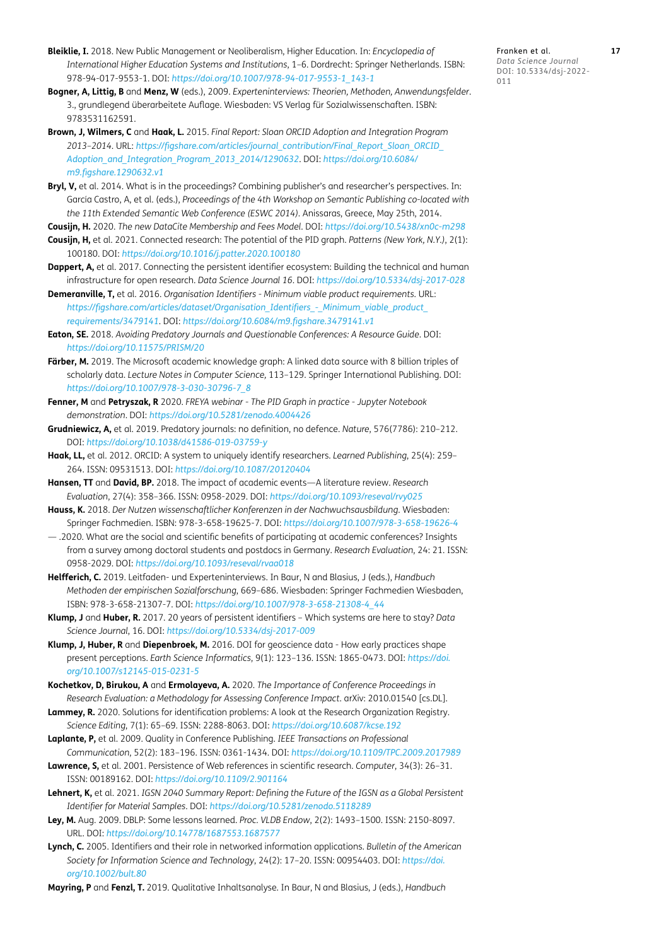- <span id="page-16-22"></span>**Bleiklie, I.** 2018. New Public Management or Neoliberalism, Higher Education. In: *Encyclopedia of International Higher Education Systems and Institutions*, 1–6. Dordrecht: Springer Netherlands. ISBN: 978-94-017-9553-1. DOI: *[https://doi.org/10.1007/978-94-017-9553-1\\_143-1](https://doi.org/10.1007/978-94-017-9553-1_143-1)*
- <span id="page-16-15"></span>**Bogner, A, Littig, B** and **Menz, W** (eds.), 2009. *Experteninterviews: Theorien, Methoden, Anwendungsfelder*. 3., grundlegend überarbeitete Auflage. Wiesbaden: VS Verlag für Sozialwissenschaften. ISBN: 9783531162591.
- <span id="page-16-11"></span>**Brown, J, Wilmers, C** and **Haak, L.** 2015. *Final Report: Sloan ORCID Adoption and Integration Program 2013–2014.* URL: *[https://figshare.com/articles/journal\\_contribution/Final\\_Report\\_Sloan\\_ORCID\\_](https://figshare.com/articles/journal_contribution/Final_Report_Sloan_ORCID_Adoption_and_Integration_Program_2013_2014/1290632) [Adoption\\_and\\_Integration\\_Program\\_2013\\_2014/1290632](https://figshare.com/articles/journal_contribution/Final_Report_Sloan_ORCID_Adoption_and_Integration_Program_2013_2014/1290632)*. DOI: *[https://doi.org/10.6084/](https://doi.org/10.6084/m9.figshare.1290632.v1) [m9.figshare.1290632.v1](https://doi.org/10.6084/m9.figshare.1290632.v1)*
- <span id="page-16-10"></span>**Bryl, V,** et al. 2014. What is in the proceedings? Combining publisher's and researcher's perspectives. In: García Castro, A, et al. (eds.), *Proceedings of the 4th Workshop on Semantic Publishing co-located with the 11th Extended Semantic Web Conference (ESWC 2014).* Anissaras, Greece, May 25th, 2014.
- <span id="page-16-23"></span><span id="page-16-3"></span>**Cousijn, H.** 2020. *The new DataCite Membership and Fees Model*. DOI: *<https://doi.org/10.5438/xn0c-m298>* **Cousijn, H,** et al. 2021. Connected research: The potential of the PID graph. *Patterns (New York, N.Y.)*, 2(1): 100180. DOI: *<https://doi.org/10.1016/j.patter.2020.100180>*
- <span id="page-16-13"></span>**Dappert, A,** et al. 2017. Connecting the persistent identifier ecosystem: Building the technical and human infrastructure for open research. *Data Science Journal 16*. DOI: *<https://doi.org/10.5334/dsj-2017-028>*
- <span id="page-16-12"></span>**Demeranville, T,** et al. 2016. *Organisation Identifiers - Minimum viable product requirements.* URL: *[https://figshare.com/articles/dataset/Organisation\\_Identifiers\\_-\\_Minimum\\_viable\\_product\\_](https://figshare.com/articles/dataset/Organisation_Identifiers_-_Minimum_viable_product_requirements/3479141) [requirements/3479141](https://figshare.com/articles/dataset/Organisation_Identifiers_-_Minimum_viable_product_requirements/3479141)*. DOI: *<https://doi.org/10.6084/m9.figshare.3479141.v1>*
- <span id="page-16-20"></span>**Eaton, SE.** 2018. *Avoiding Predatory Journals and Questionable Conferences: A Resource Guide*. DOI: *<https://doi.org/10.11575/PRISM/20>*
- Färber, M. 2019. The Microsoft academic knowledge graph: A linked data source with 8 billion triples of scholarly data. *Lecture Notes in Computer Science,* 113–129. Springer International Publishing. DOI: *[https://doi.org/10.1007/978-3-030-30796-7\\_8](https://doi.org/10.1007/978-3-030-30796-7_8)*
- <span id="page-16-14"></span>**Fenner, M** and **Petryszak, R** 2020. *FREYA webinar - The PID Graph in practice - Jupyter Notebook demonstration*. DOI: *<https://doi.org/10.5281/zenodo.4004426>*
- <span id="page-16-21"></span>**Grudniewicz, A,** et al. 2019. Predatory journals: no definition, no defence. *Nature*, 576(7786): 210–212. DOI: *<https://doi.org/10.1038/d41586-019-03759-y>*
- <span id="page-16-7"></span>**Haak, LL,** et al. 2012. ORCID: A system to uniquely identify researchers. *Learned Publishing*, 25(4): 259– 264. ISSN: 09531513. DOI: *<https://doi.org/10.1087/20120404>*
- <span id="page-16-1"></span>**Hansen, TT** and **David, BP.** 2018. The impact of academic events—A literature review. *Research Evaluation*, 27(4): 358–366. ISSN: 0958-2029. DOI: *<https://doi.org/10.1093/reseval/rvy025>*
- <span id="page-16-0"></span>**Hauss, K.** 2018. *Der Nutzen wissenschaftlicher Konferenzen in der Nachwuchsausbildung*. Wiesbaden: Springer Fachmedien. ISBN: 978-3-658-19625-7. DOI: *<https://doi.org/10.1007/978-3-658-19626-4>*
- <span id="page-16-19"></span>— .2020. What are the social and scientific benefits of participating at academic conferences? Insights from a survey among doctoral students and postdocs in Germany. *Research Evaluation*, 24: 21. ISSN: 0958-2029. DOI: *<https://doi.org/10.1093/reseval/rvaa018>*
- <span id="page-16-16"></span>**Helfferich, C.** 2019. Leitfaden- und Experteninterviews. In Baur, N and Blasius, J (eds.), *Handbuch Methoden der empirischen Sozialforschung*, 669–686. Wiesbaden: Springer Fachmedien Wiesbaden, ISBN: 978-3-658-21307-7. DOI: *[https://doi.org/10.1007/978-3-658-21308-4\\_44](https://doi.org/10.1007/978-3-658-21308-4_44)*
- <span id="page-16-5"></span>**Klump, J** and **Huber, R.** 2017. 20 years of persistent identifiers – Which systems are here to stay? *Data Science Journal*, 16. DOI: *<https://doi.org/10.5334/dsj-2017-009>*
- <span id="page-16-25"></span>**Klump, J, Huber, R** and **Diepenbroek, M.** 2016. DOI for geoscience data - How early practices shape present perceptions. *Earth Science Informatics*, 9(1): 123–136. ISSN: 1865-0473. DOI: *[https://doi.](https://doi.org/10.1007/s12145-015-0231-5) [org/10.1007/s12145-015-0231-5](https://doi.org/10.1007/s12145-015-0231-5)*
- <span id="page-16-2"></span>**Kochetkov, D, Birukou, A** and **Ermolayeva, A.** 2020. *The Importance of Conference Proceedings in Research Evaluation: a Methodology for Assessing Conference Impact*. arXiv: 2010.01540 [cs.DL].
- <span id="page-16-8"></span>**Lammey, R.** 2020. Solutions for identification problems: A look at the Research Organization Registry. *Science Editing*, 7(1): 65–69. ISSN: 2288-8063. DOI: *<https://doi.org/10.6087/kcse.192>*
- <span id="page-16-18"></span>**Laplante, P,** et al. 2009. Quality in Conference Publishing. *IEEE Transactions on Professional Communication*, 52(2): 183–196. ISSN: 0361-1434. DOI: *<https://doi.org/10.1109/TPC.2009.2017989>*
- <span id="page-16-6"></span>**Lawrence, S,** et al. 2001. Persistence of Web references in scientific research. *Computer*, 34(3): 26–31. ISSN: 00189162. DOI: *<https://doi.org/10.1109/2.901164>*
- <span id="page-16-24"></span>**Lehnert, K,** et al. 2021. *IGSN 2040 Summary Report: Defining the Future of the IGSN as a Global Persistent Identifier for Material Samples*. DOI: *<https://doi.org/10.5281/zenodo.5118289>*
- <span id="page-16-9"></span>**Ley, M.** Aug. 2009. DBLP: Some lessons learned. *Proc. VLDB Endow*, 2(2): 1493–1500. ISSN: 2150-8097. URL. DOI: *<https://doi.org/10.14778/1687553.1687577>*
- <span id="page-16-4"></span>**Lynch, C.** 2005. Identifiers and their role in networked information applications. *Bulletin of the American Society for Information Science and Technology*, 24(2): 17–20. ISSN: 00954403. DOI: *[https://doi.](https://doi.org/10.1002/bult.80) [org/10.1002/bult.80](https://doi.org/10.1002/bult.80)*

<span id="page-16-17"></span>**Mayring, P** and **Fenzl, T.** 2019. Qualitative Inhaltsanalyse. In Baur, N and Blasius, J (eds.), *Handbuch* 

Franken et al. **17** *Data Science Journal* DOI: 10.5334/dsj-2022- 011